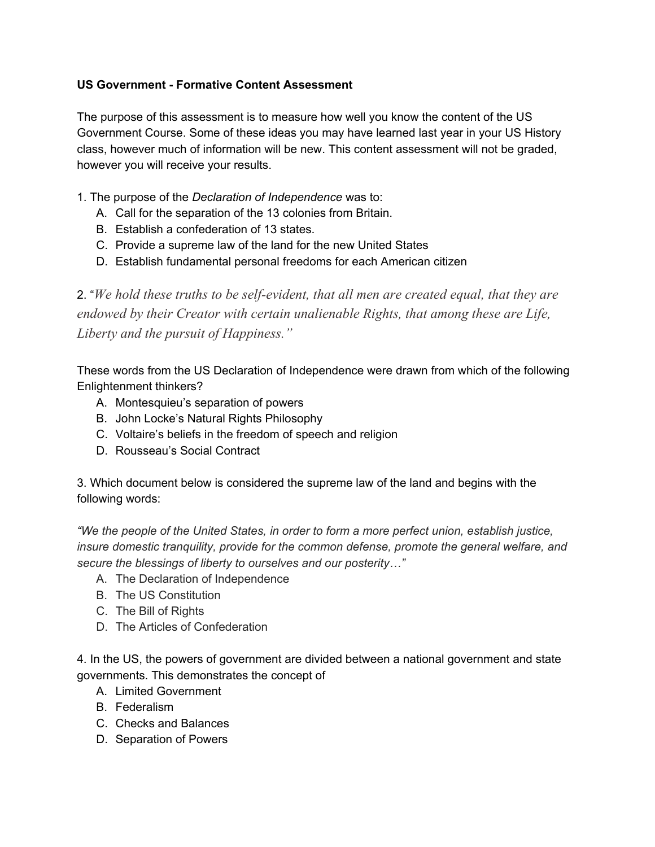## **US Government Formative Content Assessment**

The purpose of this assessment is to measure how well you know the content of the US Government Course. Some of these ideas you may have learned last year in your US History class, however much of information will be new. This content assessment will not be graded, however you will receive your results.

- 1. The purpose of the *Declaration of Independence* was to:
	- A. Call for the separation of the 13 colonies from Britain.
	- B. Establish a confederation of 13 states.
	- C. Provide a supreme law of the land for the new United States
	- D. Establish fundamental personal freedoms for each American citizen

2. "*We hold these truths to be selfevident, that all men are created equal, that they are endowed by their Creator with certain unalienable Rights, that among these are Life, Liberty and the pursuit of Happiness."*

These words from the US Declaration of Independence were drawn from which of the following Enlightenment thinkers?

- A. Montesquieu's separation of powers
- B. John Locke's Natural Rights Philosophy
- C. Voltaire's beliefs in the freedom of speech and religion
- D. Rousseau's Social Contract

3. Which document below is considered the supreme law of the land and begins with the following words:

*"We the people of the United States, in order to form a more perfect union, establish justice, insure domestic tranquility, provide for the common defense, promote the general welfare, and secure the blessings of liberty to ourselves and our posterity…"*

- A. The Declaration of Independence
- B. The US Constitution
- C. The Bill of Rights
- D. The Articles of Confederation

4. In the US, the powers of government are divided between a national government and state governments. This demonstrates the concept of

- A. Limited Government
- B. Federalism
- C. Checks and Balances
- D. Separation of Powers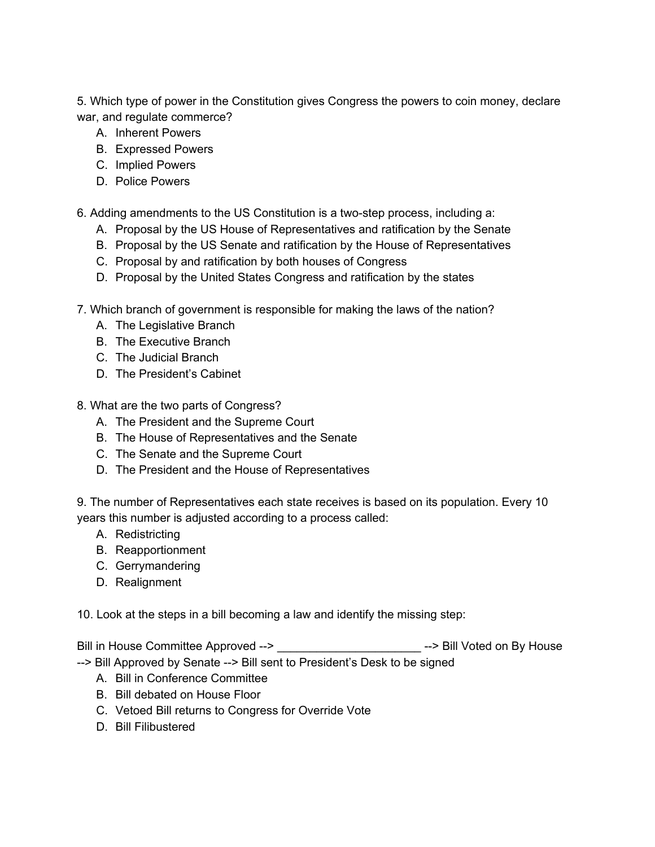5. Which type of power in the Constitution gives Congress the powers to coin money, declare war, and regulate commerce?

- A. Inherent Powers
- B. Expressed Powers
- C. Implied Powers
- D. Police Powers

6. Adding amendments to the US Constitution is a two-step process, including a:

- A. Proposal by the US House of Representatives and ratification by the Senate
- B. Proposal by the US Senate and ratification by the House of Representatives
- C. Proposal by and ratification by both houses of Congress
- D. Proposal by the United States Congress and ratification by the states
- 7. Which branch of government is responsible for making the laws of the nation?
	- A. The Legislative Branch
	- B. The Executive Branch
	- C. The Judicial Branch
	- D. The President's Cabinet
- 8. What are the two parts of Congress?
	- A. The President and the Supreme Court
	- B. The House of Representatives and the Senate
	- C. The Senate and the Supreme Court
	- D. The President and the House of Representatives

9. The number of Representatives each state receives is based on its population. Every 10 years this number is adjusted according to a process called:

- A. Redistricting
- B. Reapportionment
- C. Gerrymandering
- D. Realignment

10. Look at the steps in a bill becoming a law and identify the missing step:

Bill in House Committee Approved --> \_\_\_\_\_\_\_\_\_\_\_\_\_\_\_\_\_\_\_\_\_\_\_\_\_\_\_\_\_\_\_\_--> Bill Voted on By House

- -- > Bill Approved by Senate -- > Bill sent to President's Desk to be signed
	- A. Bill in Conference Committee
	- B. Bill debated on House Floor
	- C. Vetoed Bill returns to Congress for Override Vote
	- D. Bill Filibustered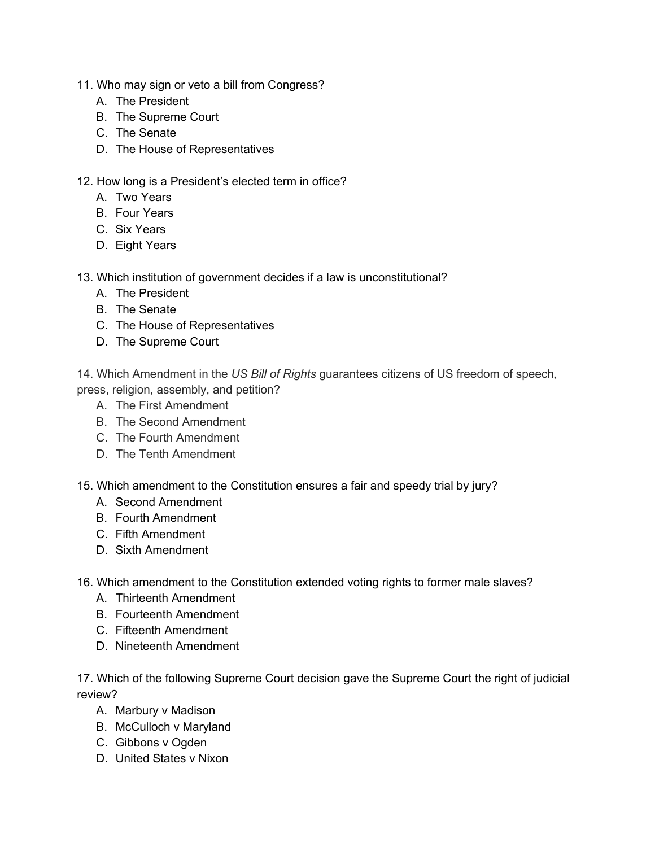- 11. Who may sign or veto a bill from Congress?
	- A. The President
	- B. The Supreme Court
	- C. The Senate
	- D. The House of Representatives
- 12. How long is a President's elected term in office?
	- A. Two Years
	- B. Four Years
	- C. Six Years
	- D. Eight Years
- 13. Which institution of government decides if a law is unconstitutional?
	- A. The President
	- B. The Senate
	- C. The House of Representatives
	- D. The Supreme Court

14. Which Amendment in the *US Bill of Rights* guarantees citizens of US freedom of speech, press, religion, assembly, and petition?

- A. The First Amendment
- B. The Second Amendment
- C. The Fourth Amendment
- D. The Tenth Amendment
- 15. Which amendment to the Constitution ensures a fair and speedy trial by jury?
	- A. Second Amendment
	- B. Fourth Amendment
	- C. Fifth Amendment
	- D. Sixth Amendment
- 16. Which amendment to the Constitution extended voting rights to former male slaves?
	- A. Thirteenth Amendment
	- B. Fourteenth Amendment
	- C. Fifteenth Amendment
	- D. Nineteenth Amendment

17. Which of the following Supreme Court decision gave the Supreme Court the right of judicial review?

- A. Marbury v Madison
- B. McCulloch v Maryland
- C. Gibbons v Ogden
- D. United States v Nixon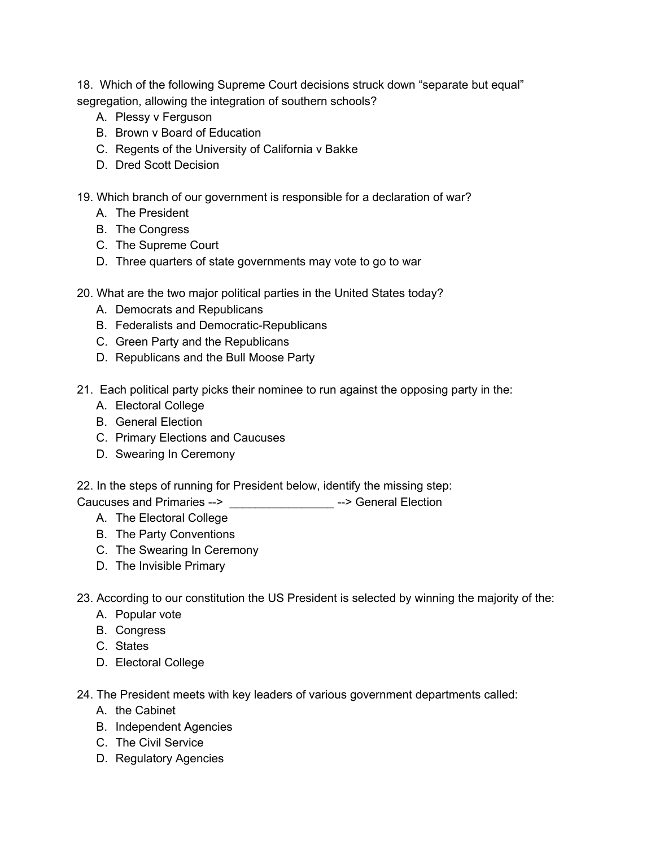18. Which of the following Supreme Court decisions struck down "separate but equal" segregation, allowing the integration of southern schools?

- A. Plessy v Ferguson
- B. Brown v Board of Education
- C. Regents of the University of California v Bakke
- D. Dred Scott Decision
- 19. Which branch of our government is responsible for a declaration of war?
	- A. The President
	- B. The Congress
	- C. The Supreme Court
	- D. Three quarters of state governments may vote to go to war
- 20. What are the two major political parties in the United States today?
	- A. Democrats and Republicans
	- B. Federalists and Democratic-Republicans
	- C. Green Party and the Republicans
	- D. Republicans and the Bull Moose Party
- 21. Each political party picks their nominee to run against the opposing party in the:
	- A. Electoral College
	- B. General Election
	- C. Primary Elections and Caucuses
	- D. Swearing In Ceremony
- 22. In the steps of running for President below, identify the missing step:
- Caucuses and Primaries > \_\_\_\_\_\_\_\_\_\_\_\_\_\_\_\_ > General Election
	- A. The Electoral College
	- B. The Party Conventions
	- C. The Swearing In Ceremony
	- D. The Invisible Primary
- 23. According to our constitution the US President is selected by winning the majority of the:
	- A. Popular vote
	- B. Congress
	- C. States
	- D. Electoral College
- 24. The President meets with key leaders of various government departments called:
	- A. the Cabinet
	- B. Independent Agencies
	- C. The Civil Service
	- D. Regulatory Agencies